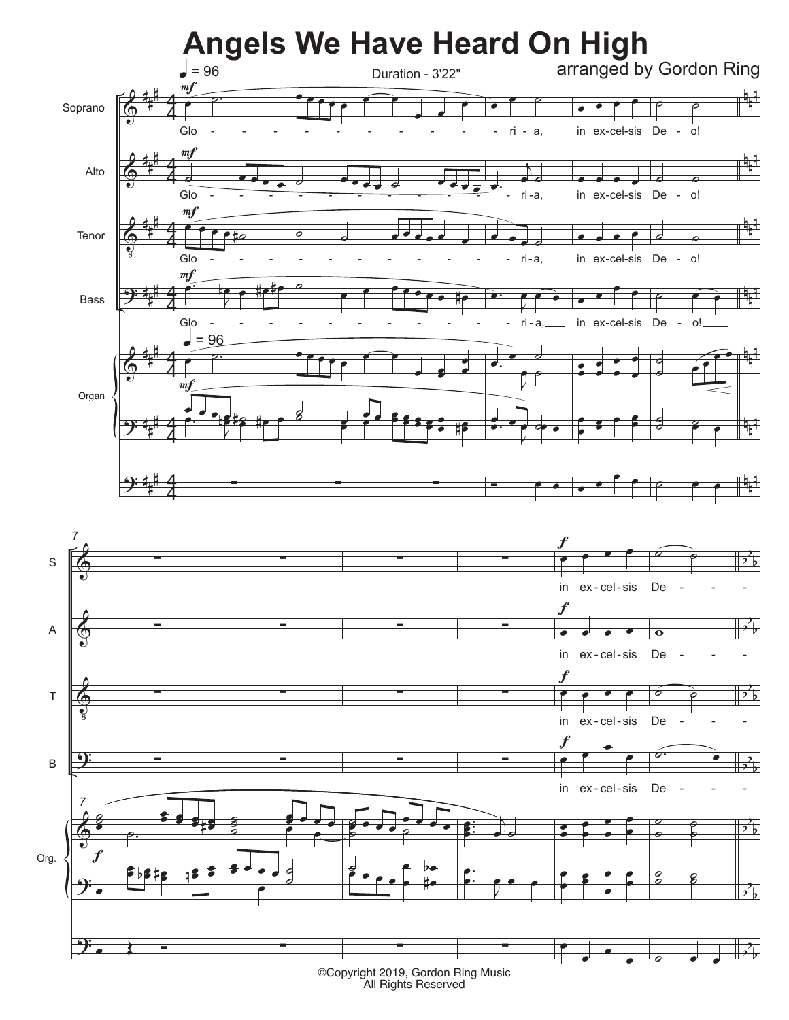

©Copyright 2019, Gordon Ring Music All Rights Reserved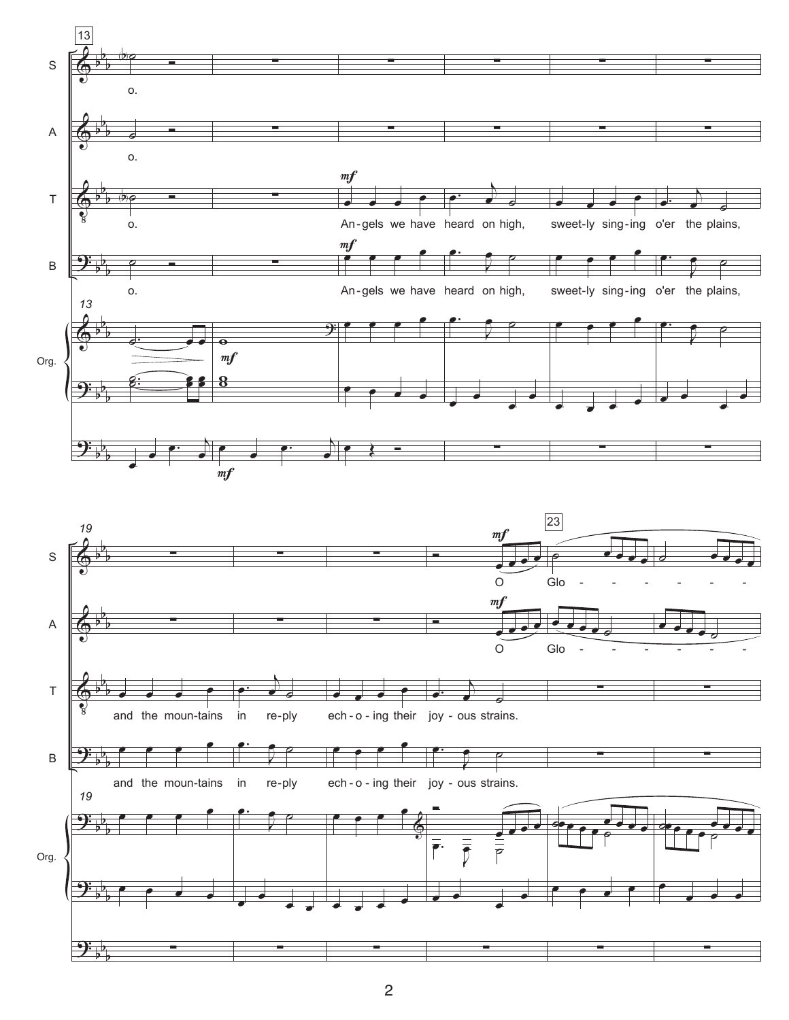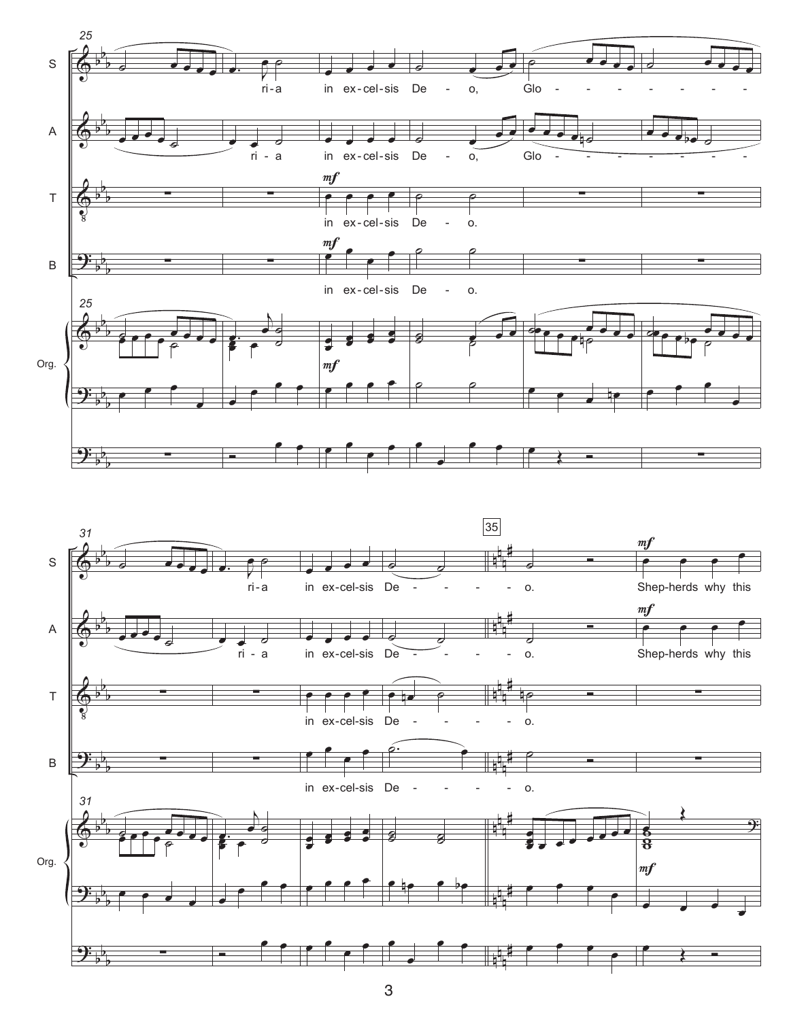

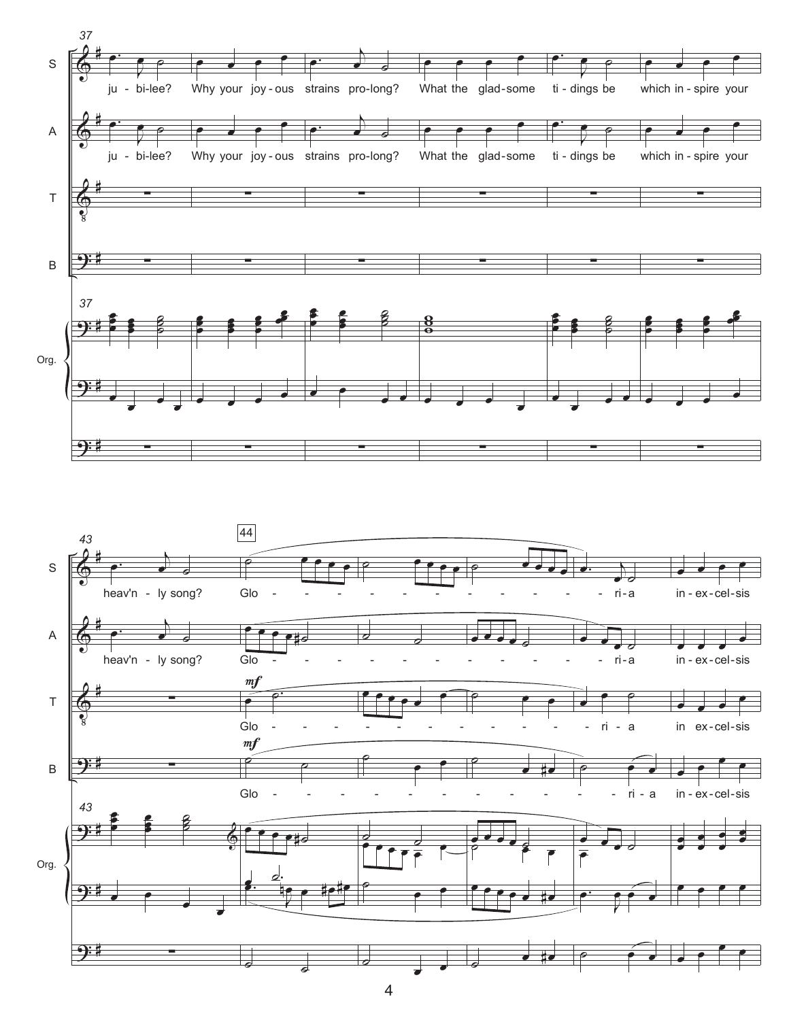



4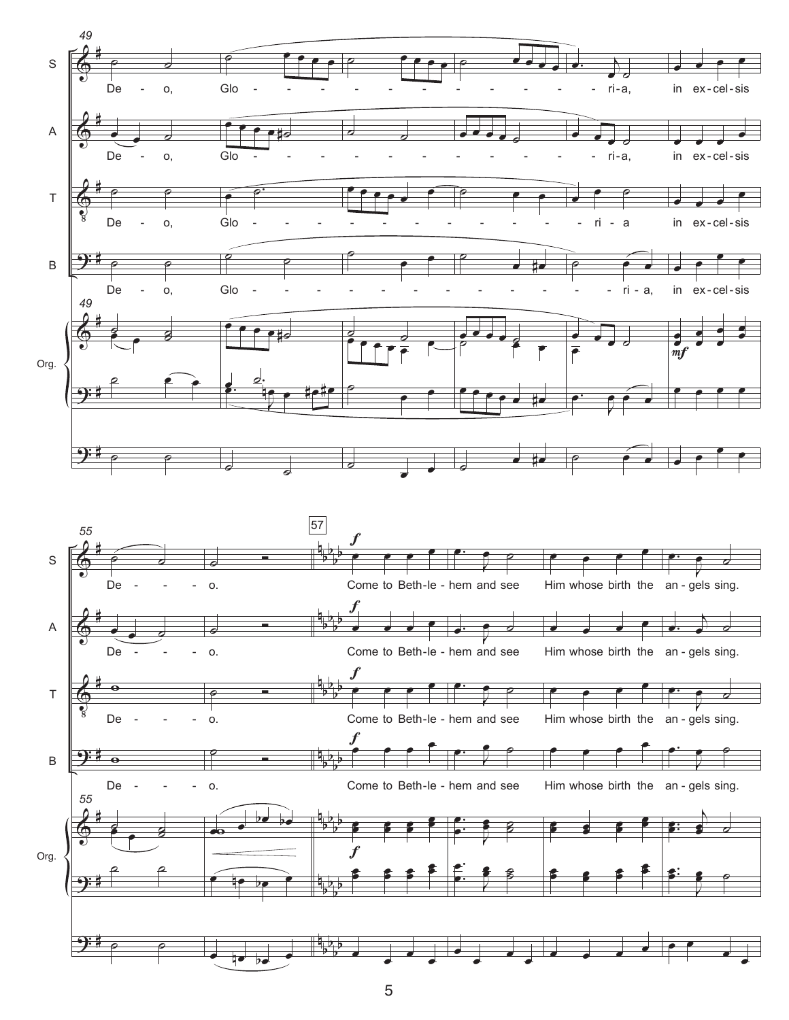

5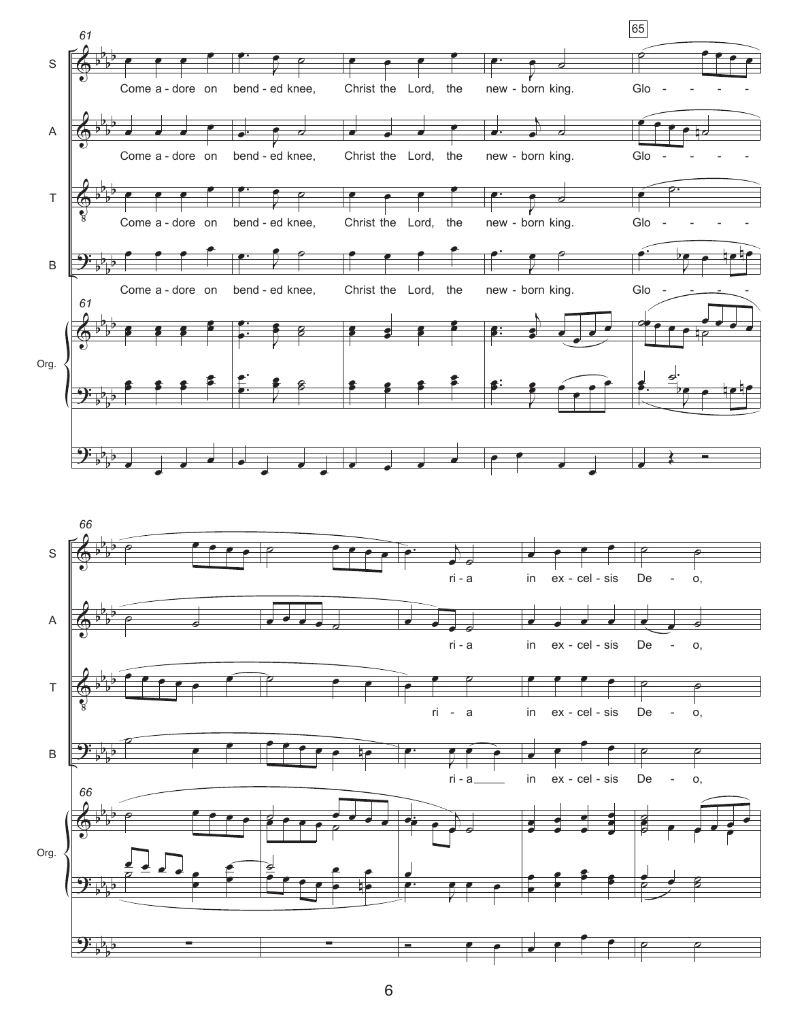